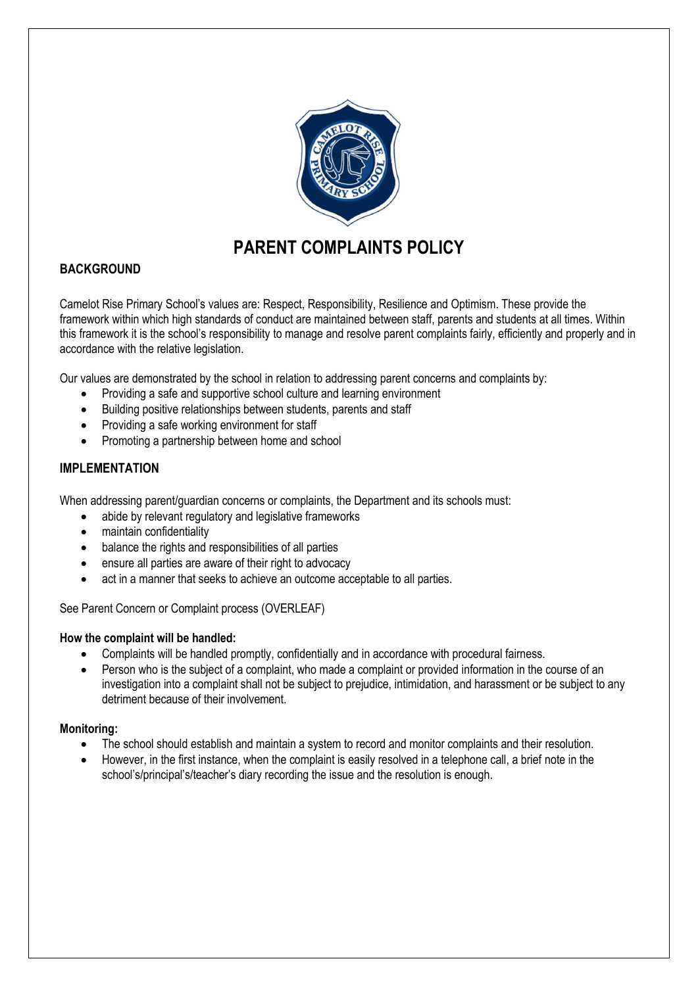

# **PARENT COMPLAINTS POLICY**

## **BACKGROUND**

Camelot Rise Primary School's values are: Respect, Responsibility, Resilience and Optimism. These provide the framework within which high standards of conduct are maintained between staff, parents and students at all times. Within this framework it is the school's responsibility to manage and resolve parent complaints fairly, efficiently and properly and in accordance with the relative legislation.

Our values are demonstrated by the school in relation to addressing parent concerns and complaints by:

- Providing a safe and supportive school culture and learning environment
- Building positive relationships between students, parents and staff
- Providing a safe working environment for staff
- Promoting a partnership between home and school

## **IMPLEMENTATION**

When addressing parent/guardian concerns or complaints, the Department and its schools must:

- abide by relevant regulatory and legislative frameworks
- maintain confidentiality
- balance the rights and responsibilities of all parties
- ensure all parties are aware of their right to advocacy
- act in a manner that seeks to achieve an outcome acceptable to all parties.

See Parent Concern or Complaint process (OVERLEAF)

## **How the complaint will be handled:**

- Complaints will be handled promptly, confidentially and in accordance with procedural fairness.
- Person who is the subject of a complaint, who made a complaint or provided information in the course of an investigation into a complaint shall not be subject to prejudice, intimidation, and harassment or be subject to any detriment because of their involvement.

## **Monitoring:**

- The school should establish and maintain a system to record and monitor complaints and their resolution.
- However, in the first instance, when the complaint is easily resolved in a telephone call, a brief note in the school's/principal's/teacher's diary recording the issue and the resolution is enough.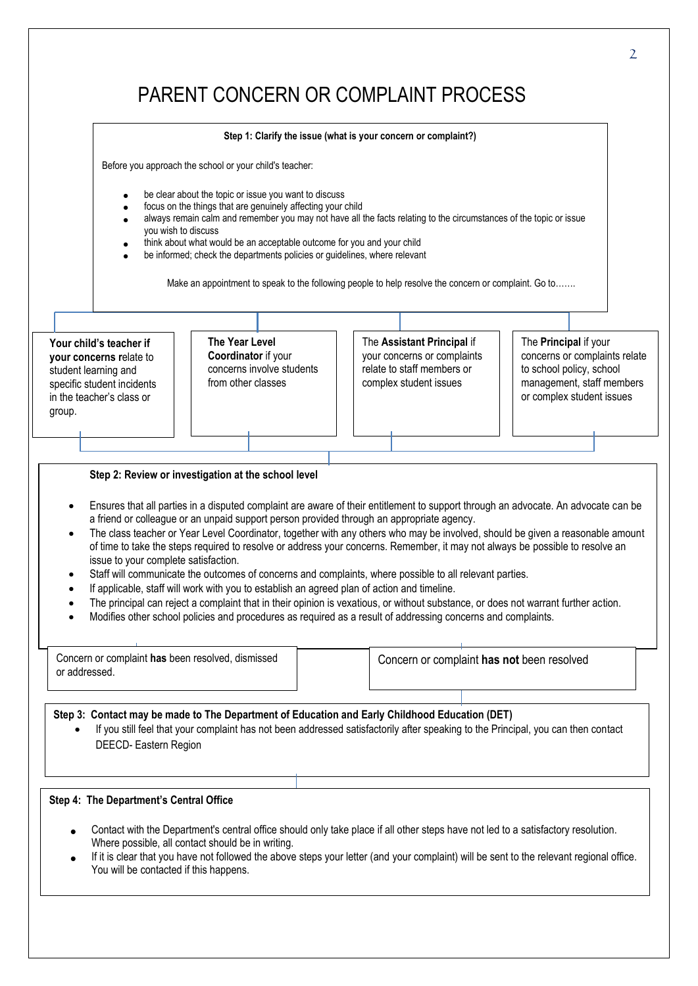# PARENT CONCERN OR COMPLAINT PROCESS

#### **Your child's teacher if your concerns r**elate to student learning and specific student incidents in the teacher's class or group. **The Year Level Coordinator** if your concerns involve students from other classes The **Assistant Principal** if your concerns or complaints relate to staff members or complex student issues The **Principal** if your concerns or complaints relate to school policy, school management, staff members or complex student issues **Step 1: Clarify the issue (what is your concern or complaint?)** Before you approach the school or your child's teacher: be clear about the topic or issue you want to discuss focus on the things that are genuinely affecting your child always remain calm and remember you may not have all the facts relating to the circumstances of the topic or issue you wish to discuss think about what would be an acceptable outcome for you and your child be informed; check the departments policies or guidelines, where relevant Make an appointment to speak to the following people to help resolve the concern or complaint. Go to…….

#### **Step 2: Review or investigation at the school level**

- Ensures that all parties in a disputed complaint are aware of their entitlement to support through an advocate. An advocate can be a friend or colleague or an unpaid support person provided through an appropriate agency.
- The class teacher or Year Level Coordinator, together with any others who may be involved, should be given a reasonable amount of time to take the steps required to resolve or address your concerns. Remember, it may not always be possible to resolve an issue to your complete satisfaction.
- Staff will communicate the outcomes of concerns and complaints, where possible to all relevant parties.
- If applicable, staff will work with you to establish an agreed plan of action and timeline.
- The principal can reject a complaint that in their opinion is vexatious, or without substance, or does not warrant further action.
- Modifies other school policies and procedures as required as a result of addressing concerns and complaints.

| Concern or complaint has been resolved, dismissed<br>or addressed. |  | Concern or complaint has not been resolved |
|--------------------------------------------------------------------|--|--------------------------------------------|
|                                                                    |  |                                            |

**Step 3: Contact may be made to The Department of Education and Early Childhood Education (DET)**

 If you still feel that your complaint has not been addressed satisfactorily after speaking to the Principal, you can then contact DEECD- Eastern Region

## **Step 4: The Department's Central Office**

- Contact with the Department's central office should only take place if all other steps have not led to a satisfactory resolution. Where possible, all contact should be in writing.
- If it is clear that you have not followed the above steps your letter (and your complaint) will be sent to the relevant regional office. You will be contacted if this happens.